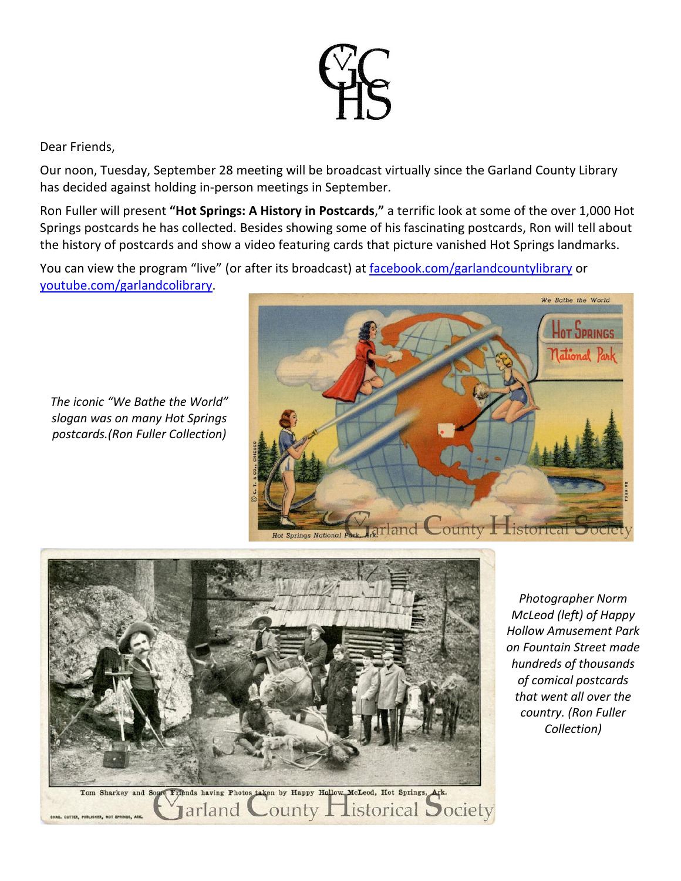

## Dear Friends,

Our noon, Tuesday, September 28 meeting will be broadcast virtually since the Garland County Library has decided against holding in-person meetings in September.

Ron Fuller will present **"Hot Springs: A History in Postcards**,**"** a terrific look at some of the over 1,000 Hot Springs postcards he has collected. Besides showing some of his fascinating postcards, Ron will tell about the history of postcards and show a video featuring cards that picture vanished Hot Springs landmarks.

You can view the program "live" (or after its broadcast) at [facebook.com/garlandcountylibrary](http://facebook.com/garlandcountylibrary) or [youtube.com/garlandcolibrary.](http://youtube.com/garlandcolibrary)

*The iconic "We Bathe the World" slogan was on many Hot Springs postcards.(Ron Fuller Collection)*





*Photographer Norm McLeod (left) of Happy Hollow Amusement Park on Fountain Street made hundreds of thousands of comical postcards that went all over the country. (Ron Fuller Collection)*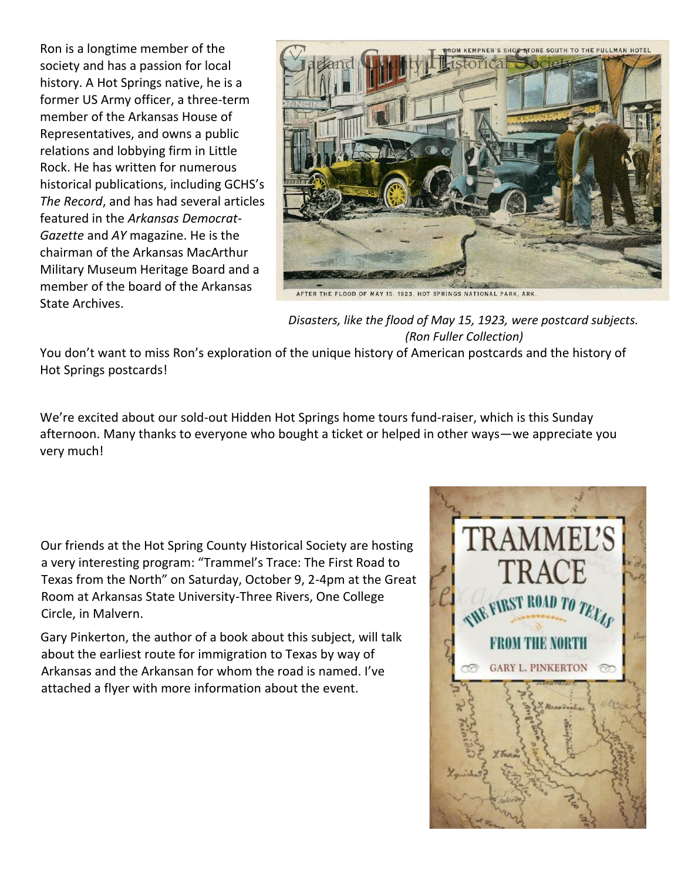Ron is a longtime member of the society and has a passion for local history. A Hot Springs native, he is a former US Army officer, a three-term member of the Arkansas House of Representatives, and owns a public relations and lobbying firm in Little Rock. He has written for numerous historical publications, including GCHS's *The Record*, and has had several articles featured in the *Arkansas Democrat-Gazette* and *AY* magazine. He is the chairman of the Arkansas MacArthur Military Museum Heritage Board and a member of the board of the Arkansas State Archives.



*Disasters, like the flood of May 15, 1923, were postcard subjects.*

 *(Ron Fuller Collection)*

You don't want to miss Ron's exploration of the unique history of American postcards and the history of Hot Springs postcards!

We're excited about our sold-out Hidden Hot Springs home tours fund-raiser, which is this Sunday afternoon. Many thanks to everyone who bought a ticket or helped in other ways—we appreciate you very much!

Our friends at the Hot Spring County Historical Society are hosting a very interesting program: "Trammel's Trace: The First Road to Texas from the North" on Saturday, October 9, 2-4pm at the Great Room at Arkansas State University-Three Rivers, One College Circle, in Malvern.

Gary Pinkerton, the author of a book about this subject, will talk about the earliest route for immigration to Texas by way of Arkansas and the Arkansan for whom the road is named. I've attached a flyer with more information about the event.

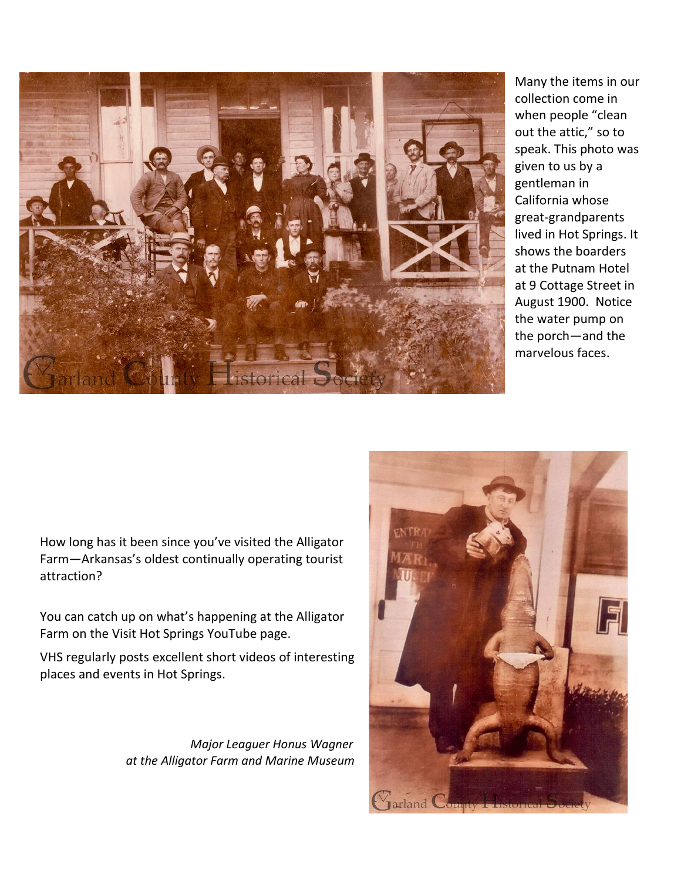

Many the items in our collection come in when people "clean out the attic," so to speak. This photo was given to us by a gentleman in California whose great-grandparents lived in Hot Springs. It shows the boarders at the Putnam Hotel at 9 Cottage Street in August 1900. Notice the water pump on the porch—and the marvelous faces.

How long has it been since you've visited the Alligator Farm—Arkansas's oldest continually operating tourist attraction?

You can catch up on what's happening at the Alligator Farm on the Visit Hot Springs YouTube page.

VHS regularly posts excellent short videos of interesting places and events in Hot Springs.

> *Major Leaguer Honus Wagner at the Alligator Farm and Marine Museum*

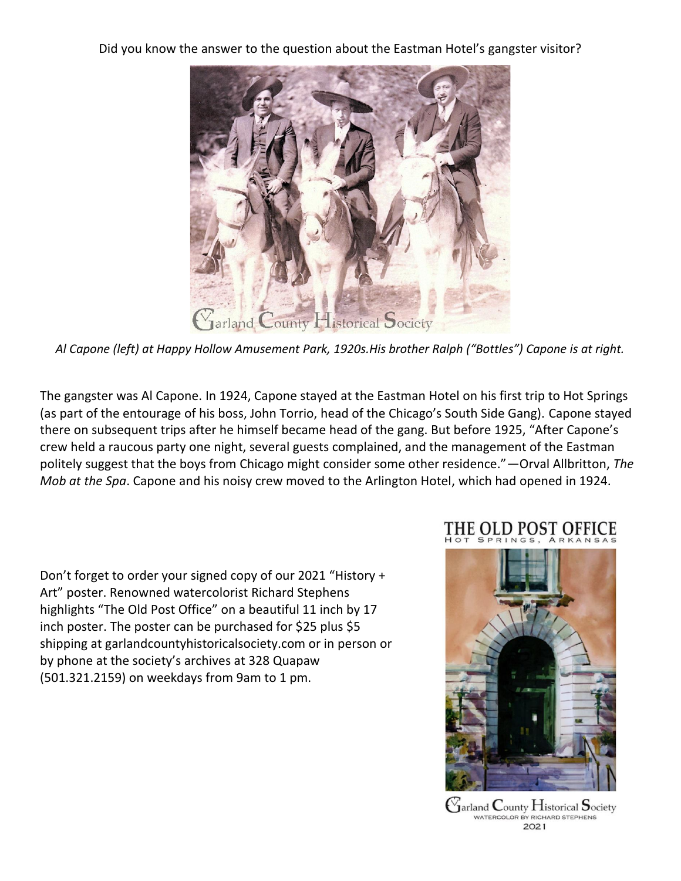Did you know the answer to the question about the Eastman Hotel's gangster visitor?



*Al Capone (left) at Happy Hollow Amusement Park, 1920s.His brother Ralph ("Bottles") Capone is at right.*

The gangster was Al Capone. In 1924, Capone stayed at the Eastman Hotel on his first trip to Hot Springs (as part of the entourage of his boss, John Torrio, head of the Chicago's South Side Gang). Capone stayed there on subsequent trips after he himself became head of the gang. But before 1925, "After Capone's crew held a raucous party one night, several guests complained, and the management of the Eastman politely suggest that the boys from Chicago might consider some other residence."—Orval Allbritton, *The Mob at the Spa*. Capone and his noisy crew moved to the Arlington Hotel, which had opened in 1924.

Don't forget to order your signed copy of our 2021 "History + Art" poster. Renowned watercolorist Richard Stephens highlights "The Old Post Office" on a beautiful 11 inch by 17 inch poster. The poster can be purchased for \$25 plus \$5 shipping at garlandcountyhistoricalsociety.com or in person or by phone at the society's archives at 328 Quapaw (501.321.2159) on weekdays from 9am to 1 pm.

# THE OLD POST OFFICE



 $\mathop{\mathrm{G}}$ arland  $\mathop{\mathrm{County}}$  Historical  $\mathop{\mathrm{Society}}$ WATERCOLOR BY RICHARD STEPHENS 2021